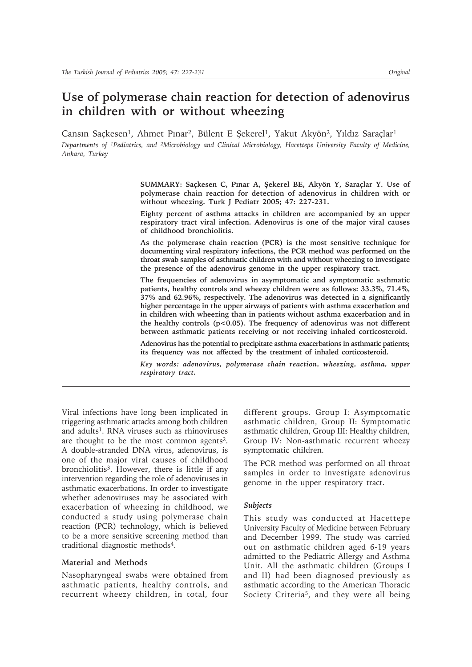# **Use of polymerase chain reaction for detection of adenovirus in children with or without wheezing**

Cansın Saçkesen<sup>1</sup>, Ahmet Pınar<sup>2</sup>, Bülent E Şekerel<sup>1</sup>, Yakut Akyön<sup>2</sup>, Yıldız Saraçlar<sup>1</sup> *Departments of 1Pediatrics, and 2Microbiology and Clinical Microbiology, Hacettepe University Faculty of Medicine, Ankara, Turkey*

> **SUMMARY: Saçkesen C, Pınar A, Şekerel BE, Akyön Y, Saraçlar Y. Use of polymerase chain reaction for detection of adenovirus in children with or without wheezing. Turk J Pediatr 2005; 47: 227-231.**

> **Eighty percent of asthma attacks in children are accompanied by an upper respiratory tract viral infection. Adenovirus is one of the major viral causes of childhood bronchiolitis.**

> **As the polymerase chain reaction (PCR) is the most sensitive technique for documenting viral respiratory infections, the PCR method was performed on the throat swab samples of asthmatic children with and without wheezing to investigate the presence of the adenovirus genome in the upper respiratory tract.**

> **The frequencies of adenovirus in asymptomatic and symptomatic asthmatic patients, healthy controls and wheezy children were as follows: 33.3%, 71.4%, 37% and 62.96%, respectively. The adenovirus was detected in a significantly higher percentage in the upper airways of patients with asthma exacerbation and in children with wheezing than in patients without asthma exacerbation and in the healthy controls (p<0.05). The frequency of adenovirus was not different between asthmatic patients receiving or not receiving inhaled corticosteroid.**

> **Adenovirus has the potential to precipitate asthma exacerbations in asthmatic patients; its frequency was not affected by the treatment of inhaled corticosteroid.**

> *Key words: adenovirus, polymerase chain reaction, wheezing, asthma, upper respiratory tract.*

Viral infections have long been implicated in triggering asthmatic attacks among both children and adults<sup>1</sup>. RNA viruses such as rhinoviruses are thought to be the most common agents2. A double-stranded DNA virus, adenovirus, is one of the major viral causes of childhood bronchiolitis3. However, there is little if any intervention regarding the role of adenoviruses in asthmatic exacerbations. In order to investigate whether adenoviruses may be associated with exacerbation of wheezing in childhood, we conducted a study using polymerase chain reaction (PCR) technology, which is believed to be a more sensitive screening method than traditional diagnostic methods4.

#### **Material and Methods**

Nasopharyngeal swabs were obtained from asthmatic patients, healthy controls, and recurrent wheezy children, in total, four different groups. Group I: Asymptomatic asthmatic children, Group II: Symptomatic asthmatic children, Group III: Healthy children, Group IV: Non-asthmatic recurrent wheezy symptomatic children.

The PCR method was performed on all throat samples in order to investigate adenovirus genome in the upper respiratory tract.

#### *Subjects*

This study was conducted at Hacettepe University Faculty of Medicine between February and December 1999. The study was carried out on asthmatic children aged 6-19 years admitted to the Pediatric Allergy and Asthma Unit. All the asthmatic children (Groups I and II) had been diagnosed previously as asthmatic according to the American Thoracic Society Criteria<sup>5</sup>, and they were all being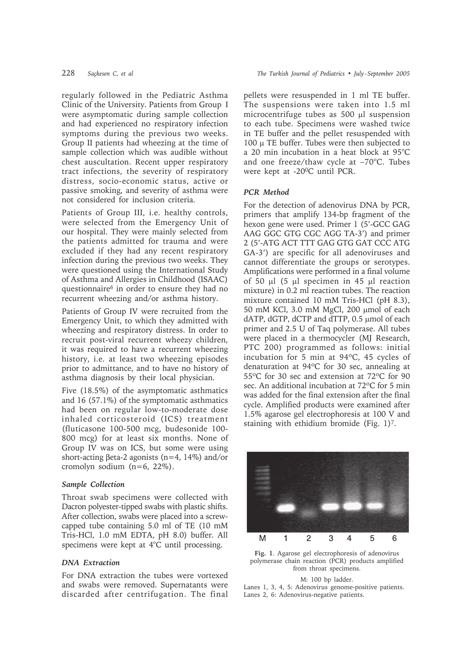regularly followed in the Pediatric Asthma Clinic of the University. Patients from Group I were asymptomatic during sample collection and had experienced no respiratory infection symptoms during the previous two weeks. Group II patients had wheezing at the time of sample collection which was audible without chest auscultation. Recent upper respiratory tract infections, the severity of respiratory distress, socio-economic status, active or passive smoking, and severity of asthma were not considered for inclusion criteria.

Patients of Group III, i.e. healthy controls, were selected from the Emergency Unit of our hospital. They were mainly selected from the patients admitted for trauma and were excluded if they had any recent respiratory infection during the previous two weeks. They were questioned using the International Study of Asthma and Allergies in Childhood (ISAAC) questionnaire6 in order to ensure they had no recurrent wheezing and/or asthma history.

Patients of Group IV were recruited from the Emergency Unit, to which they admitted with wheezing and respiratory distress. In order to recruit post-viral recurrent wheezy children, it was required to have a recurrent wheezing history, i.e. at least two wheezing episodes prior to admittance, and to have no history of asthma diagnosis by their local physician.

Five (18.5%) of the asymptomatic asthmatics and 16 (57.1%) of the symptomatic asthmatics had been on regular low-to-moderate dose inhaled corticosteroid (ICS) treatment (fluticasone 100-500 mcg, budesonide 100- 800 mcg) for at least six months. None of Group IV was on ICS, but some were using short-acting βeta-2 agonists (n=4, 14%) and/or cromolyn sodium (n=6, 22%).

#### *Sample Collection*

Throat swab specimens were collected with Dacron polyester-tipped swabs with plastic shifts. After collection, swabs were placed into a screwcapped tube containing 5.0 ml of TE (10 mM Tris-HCl, 1.0 mM EDTA, pH 8.0) buffer. All specimens were kept at  $4^{\circ}$ C until processing.

#### *DNA Extraction*

For DNA extraction the tubes were vortexed and swabs were removed. Supernatants were discarded after centrifugation. The final pellets were resuspended in 1 ml TE buffer. The suspensions were taken into 1.5 ml microcentrifuge tubes as 500 µl suspension to each tube. Specimens were washed twice in TE buffer and the pellet resuspended with 100  $\mu$  TE buffer. Tubes were then subjected to a 20 min incubation in a heat block at  $95^{\circ}$ C and one freeze/thaw cycle at  $-70^{\circ}$ C. Tubes were kept at -200C until PCR.

## *PCR Method*

For the detection of adenovirus DNA by PCR, primers that amplify 134-bp fragment of the hexon gene were used. Primer 1 (5'-GCC GAG AAG GGC GTG CGC AGG TA-3') and primer 2 (5'-ATG ACT TTT GAG GTG GAT CCC ATG GA-3') are specific for all adenoviruses and cannot differentiate the groups or serotypes. Amplifications were performed in a final volume of 50  $\mu$ l (5  $\mu$ l specimen in 45  $\mu$ l reaction mixture) in 0.2 ml reaction tubes. The reaction mixture contained 10 mM Tris-HCl (pH 8.3), 50 mM KCl, 3.0 mM MgCl, 200 µmol of each dATP, dGTP, dCTP and dTTP, 0.5 µmol of each primer and 2.5 U of Taq polymerase. All tubes were placed in a thermocycler (MJ Research, PTC 200) programmed as follows: initial incubation for 5 min at 94ºC, 45 cycles of denaturation at 94ºC for 30 sec, annealing at 55ºC for 30 sec and extension at 72ºC for 90 sec. An additional incubation at 72ºC for 5 min was added for the final extension after the final cycle. Amplified products were examined after 1.5% agarose gel electrophoresis at 100 V and staining with ethidium bromide (Fig. 1)7.



**Fig. 1**. Agarose gel electrophoresis of adenovirus polymerase chain reaction (PCR) products amplified from throat specimens.

# M: 100 bp ladder.

Lanes 1, 3, 4, 5: Adenovirus genome-positive patients. Lanes 2, 6: Adenovirus-negative patients.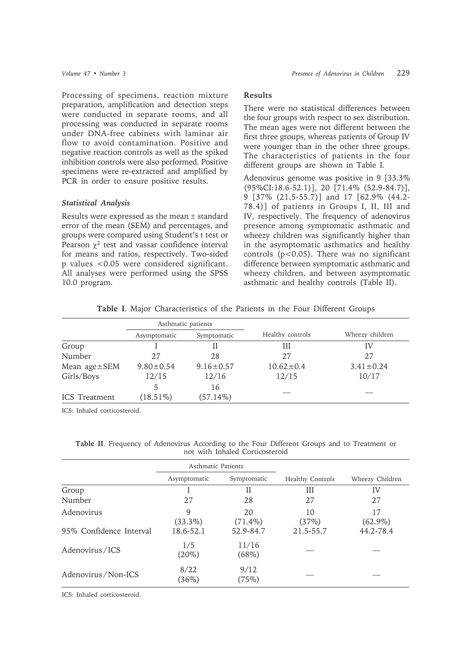Processing of specimens, reaction mixture preparation, amplification and detection steps were conducted in separate rooms, and all processing was conducted in separate rooms under DNA-free cabinets with laminar air flow to avoid contamination. Positive and negative reaction controls as well as the spiked inhibition controls were also performed. Positive specimens were re-extracted and amplified by PCR in order to ensure positive results.

# *Statistical Analysis*

Results were expressed as the mean ± standard error of the mean (SEM) and percentages, and groups were compared using Student's t test or Pearson  $\chi^2$  test and vassar confidence interval for means and ratios, respectively. Two-sided p values <0.05 were considered significant. All analyses were performed using the SPSS 10.0 program.

# **Results**

There were no statistical differences between the four groups with respect to sex distribution. The mean ages were not different between the first three groups, whereas patients of Group IV were younger than in the other three groups. The characteristics of patients in the four different groups are shown in Table I.

Adenovirus genome was positive in 9 [33.3% (95%CI:18.6-52.1)], 20 [71.4% (52.9-84.7)], 9 [37% (21.5-55.7)] and 17 [62.9% (44.2- 78.4)] of patients in Groups I, II, III and IV, respectively. The frequency of adenovirus presence among symptomatic asthmatic and wheezy children was significantly higher than in the asymptomatic asthmatics and healthy controls  $(p<0.05)$ . There was no significant difference between symptomatic asthmatic and wheezy children, and between asymptomatic asthmatic and healthy controls (Table II).

|  |  |  | Table I. Major Characteristics of the Patients in the Four Different Groups |  |  |  |  |  |  |  |  |
|--|--|--|-----------------------------------------------------------------------------|--|--|--|--|--|--|--|--|
|--|--|--|-----------------------------------------------------------------------------|--|--|--|--|--|--|--|--|

|                      | Asthmatic patients          |                 |                  |                 |  |  |
|----------------------|-----------------------------|-----------------|------------------|-----------------|--|--|
|                      | Symptomatic<br>Asymptomatic |                 | Healthy controls | Wheezy children |  |  |
| Group                |                             |                 | Ш                | IV              |  |  |
| Number               | 27                          | 28              | 27               | 27              |  |  |
| Mean $age \pm SEM$   | $9.80 \pm 0.54$             | $9.16 \pm 0.57$ | $10.62 \pm 0.4$  | $3.41 \pm 0.24$ |  |  |
| Girls/Boys           | 12/15                       | 12/16           | 12/15            | 10/17           |  |  |
|                      | 5                           | 16              |                  |                 |  |  |
| <b>ICS</b> Treatment | $(18.51\%)$                 | $(57.14\%)$     |                  |                 |  |  |

ICS: Inhaled corticosteroid.

|  | Table II. Frequency of Adenovirus According to the Four Different Groups and to Treatment or |                                 |  |  |  |
|--|----------------------------------------------------------------------------------------------|---------------------------------|--|--|--|
|  |                                                                                              | not with Inhaled Corticosteroid |  |  |  |

|                         | Asthmatic Patients |                  |                         |                  |  |
|-------------------------|--------------------|------------------|-------------------------|------------------|--|
|                         | Asymptomatic       | Symptomatic      | <b>Healthy Controls</b> | Wheezy Children  |  |
| Group                   |                    | Н                | Ш                       | IV               |  |
| Number                  | 27                 | 28               | 27                      | 27               |  |
| Adenovirus              | 9<br>$(33.3\%)$    | 20<br>$(71.4\%)$ | 10<br>(37%)             | 17<br>$(62.9\%)$ |  |
| 95% Confidence Interval | 18.6-52.1          | 52.9-84.7        | 21.5-55.7               | 44.2-78.4        |  |
| Adenovirus/ICS          | 1/5<br>$(20\%)$    | 11/16<br>(68%)   |                         |                  |  |
| Adenovirus/Non-ICS      | 8/22<br>(36%)      | 9/12<br>(75%)    |                         |                  |  |

ICS: Inhaled corticosteroid.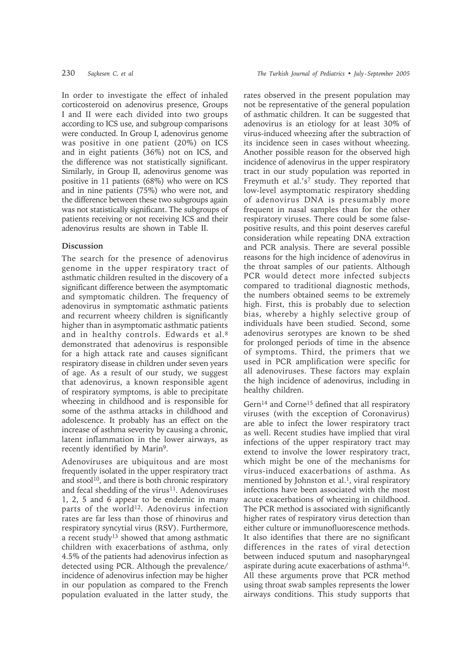In order to investigate the effect of inhaled corticosteroid on adenovirus presence, Groups I and II were each divided into two groups according to ICS use, and subgroup comparisons were conducted. In Group I, adenovirus genome was positive in one patient (20%) on ICS and in eight patients (36%) not on ICS, and the difference was not statistically significant. Similarly, in Group II, adenovirus genome was positive in 11 patients (68%) who were on ICS and in nine patients (75%) who were not, and the difference between these two subgroups again was not statistically significant. The subgroups of patients receiving or not receiving ICS and their adenovirus results are shown in Table II.

# **Discussion**

The search for the presence of adenovirus genome in the upper respiratory tract of asthmatic children resulted in the discovery of a significant difference between the asymptomatic and symptomatic children. The frequency of adenovirus in symptomatic asthmatic patients and recurrent wheezy children is significantly higher than in asymptomatic asthmatic patients and in healthy controls. Edwards et al.8 demonstrated that adenovirus is responsible for a high attack rate and causes significant respiratory disease in children under seven years of age. As a result of our study, we suggest that adenovirus, a known responsible agent of respiratory symptoms, is able to precipitate wheezing in childhood and is responsible for some of the asthma attacks in childhood and adolescence. It probably has an effect on the increase of asthma severity by causing a chronic, latent inflammation in the lower airways, as recently identified by Marin<sup>9</sup>.

Adenoviruses are ubiquitous and are most frequently isolated in the upper respiratory tract and stool<sup>10</sup>, and there is both chronic respiratory and fecal shedding of the virus<sup>11</sup>. Adenoviruses 1, 2, 5 and 6 appear to be endemic in many parts of the world<sup>12</sup>. Adenovirus infection rates are far less than those of rhinovirus and respiratory syncytial virus (RSV). Furthermore, a recent study13 showed that among asthmatic children with exacerbations of asthma, only 4.5% of the patients had adenovirus infection as detected using PCR. Although the prevalence/ incidence of adenovirus infection may be higher in our population as compared to the French population evaluated in the latter study, the

rates observed in the present population may not be representative of the general population of asthmatic children. It can be suggested that adenovirus is an etiology for at least 30% of virus-induced wheezing after the subtraction of its incidence seen in cases without wheezing. Another possible reason for the observed high incidence of adenovirus in the upper respiratory tract in our study population was reported in Freymuth et al.'s<sup>7</sup> study. They reported that low-level asymptomatic respiratory shedding of adenovirus DNA is presumably more frequent in nasal samples than for the other respiratory viruses. There could be some falsepositive results, and this point deserves careful consideration while repeating DNA extraction and PCR analysis. There are several possible reasons for the high incidence of adenovirus in the throat samples of our patients. Although PCR would detect more infected subjects compared to traditional diagnostic methods, the numbers obtained seems to be extremely high. First, this is probably due to selection bias, whereby a highly selective group of individuals have been studied. Second, some adenovirus serotypes are known to be shed for prolonged periods of time in the absence of symptoms. Third, the primers that we used in PCR amplification were specific for all adenoviruses. These factors may explain the high incidence of adenovirus, including in healthy children.

Gern<sup>14</sup> and Corne<sup>15</sup> defined that all respiratory viruses (with the exception of Coronavirus) are able to infect the lower respiratory tract as well. Recent studies have implied that viral infections of the upper respiratory tract may extend to involve the lower respiratory tract, which might be one of the mechanisms for virus-induced exacerbations of asthma. As mentioned by Johnston et al.<sup>1</sup>, viral respiratory infections have been associated with the most acute exacerbations of wheezing in childhood. The PCR method is associated with significantly higher rates of respiratory virus detection than either culture or immunofluorescence methods. It also identifies that there are no significant differences in the rates of viral detection between induced sputum and nasopharyngeal aspirate during acute exacerbations of asthma16. All these arguments prove that PCR method using throat swab samples represents the lower airways conditions. This study supports that